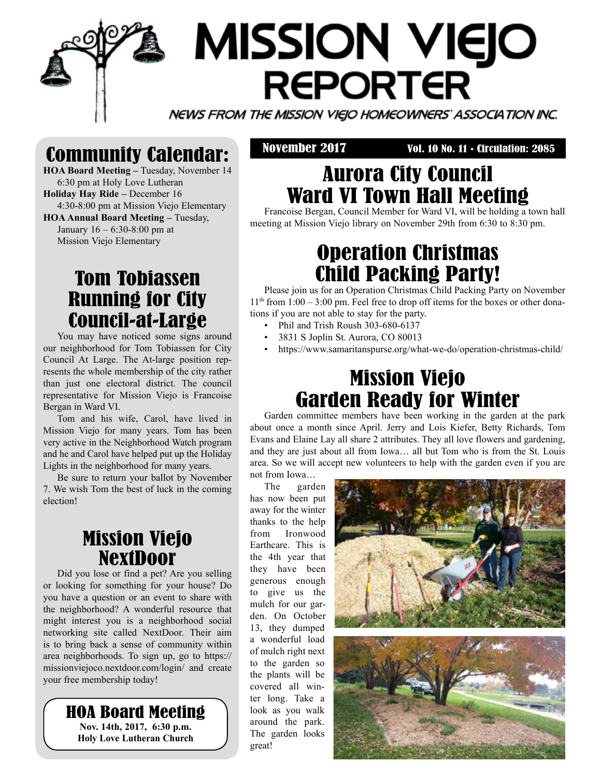# **MISSION VIEJO REPORTER**

NEWS FROM THE MISSION VIEJO HOMEOWNERS' ASSOCIATION INC.

# Community Calendar:

**HOA Board Meeting –** Tuesday, November 14 6:30 pm at Holy Love Lutheran **Holiday Hay Ride –** December 16 4:30-8:00 pm at Mission Viejo Elementary **HOA Annual Board Meeting – Tuesday,** January 16 – 6:30-8:00 pm at Mission Viejo Elementary

## Tom Tobiassen Running for City Council-at-Large

You may have noticed some signs around our neighborhood for Tom Tobiassen for City Council At Large. The At-large position represents the whole membership of the city rather than just one electoral district. The council representative for Mission Viejo is Francoise Bergan in Ward VI.

Tom and his wife, Carol, have lived in Mission Viejo for many years. Tom has been very active in the Neighborhood Watch program and he and Carol have helped put up the Holiday Lights in the neighborhood for many years.

Be sure to return your ballot by November 7. We wish Tom the best of luck in the coming election!

## Mission Viejo NextDoor

Did you lose or find a pet? Are you selling or looking for something for your house? Do you have a question or an event to share with the neighborhood? A wonderful resource that might interest you is a neighborhood social networking site called NextDoor. Their aim is to bring back a sense of community within area neighborhoods. To sign up, go to https:// missionviejoco.nextdoor.com/login/ and create your free membership today!

> HOA Board Meeting **Nov. 14th, 2017, 6:30 p.m. Holy Love Lutheran Church**

November 2017 Vol. 10 No. 11 • Circulation: 2085

# Aurora City Council Ward VI Town Hall Meeting

Francoise Bergan, Council Member for Ward VI, will be holding a town hall meeting at Mission Viejo library on November 29th from 6:30 to 8:30 pm.

# Operation Christmas Child Packing Party!

Please join us for an Operation Christmas Child Packing Party on November  $11<sup>th</sup>$  from  $1:00 - 3:00$  pm. Feel free to drop off items for the boxes or other donations if you are not able to stay for the party.

- Phil and Trish Roush 303-680-6137
- 3831 S Joplin St. Aurora, CO 80013
- https://www.samaritanspurse.org/what-we-do/operation-christmas-child/

# Mission Viejo Garden Ready for Winter

Garden committee members have been working in the garden at the park about once a month since April. Jerry and Lois Kiefer, Betty Richards, Tom Evans and Elaine Lay all share 2 attributes. They all love flowers and gardening, and they are just about all from Iowa… all but Tom who is from the St. Louis area. So we will accept new volunteers to help with the garden even if you are not from Iowa…

The garden has now been put away for the winter thanks to the help from Ironwood Earthcare. This is the 4th year that they have been generous enough to give us the mulch for our garden. On October 13, they dumped a wonderful load of mulch right next to the garden so the plants will be covered all winter long. Take a

look as you walk around the park. The garden looks

great!

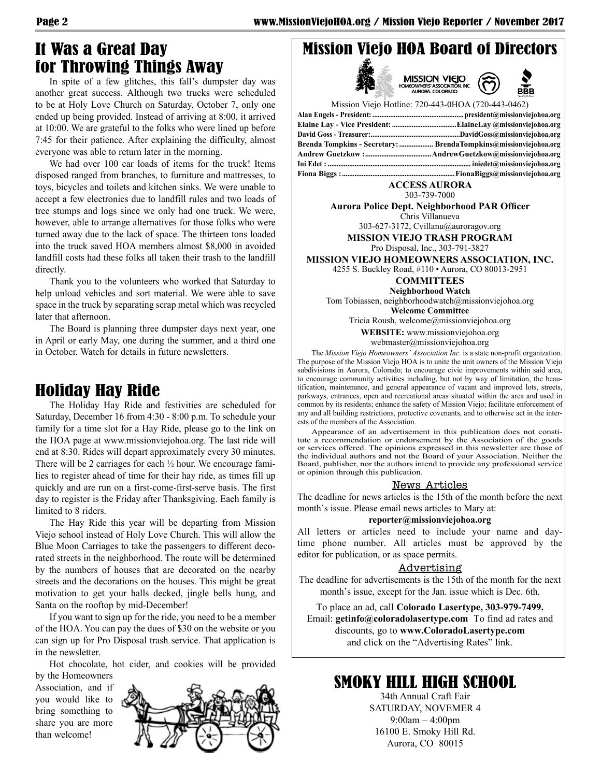## It Was a Great Day for Throwing Things Away

In spite of a few glitches, this fall's dumpster day was another great success. Although two trucks were scheduled to be at Holy Love Church on Saturday, October 7, only one ended up being provided. Instead of arriving at 8:00, it arrived at 10:00. We are grateful to the folks who were lined up before 7:45 for their patience. After explaining the difficulty, almost everyone was able to return later in the morning.

We had over 100 car loads of items for the truck! Items disposed ranged from branches, to furniture and mattresses, to toys, bicycles and toilets and kitchen sinks. We were unable to accept a few electronics due to landfill rules and two loads of tree stumps and logs since we only had one truck. We were, however, able to arrange alternatives for those folks who were turned away due to the lack of space. The thirteen tons loaded into the truck saved HOA members almost \$8,000 in avoided landfill costs had these folks all taken their trash to the landfill directly.

Thank you to the volunteers who worked that Saturday to help unload vehicles and sort material. We were able to save space in the truck by separating scrap metal which was recycled later that afternoon.

The Board is planning three dumpster days next year, one in April or early May, one during the summer, and a third one in October. Watch for details in future newsletters.

#### Holiday Hay Ride

The Holiday Hay Ride and festivities are scheduled for Saturday, December 16 from 4:30 - 8:00 p.m. To schedule your family for a time slot for a Hay Ride, please go to the link on the HOA page at www.missionviejohoa.org. The last ride will end at 8:30. Rides will depart approximately every 30 minutes. There will be 2 carriages for each ½ hour. We encourage families to register ahead of time for their hay ride, as times fill up quickly and are run on a first-come-first-serve basis. The first day to register is the Friday after Thanksgiving. Each family is limited to 8 riders.

The Hay Ride this year will be departing from Mission Viejo school instead of Holy Love Church. This will allow the Blue Moon Carriages to take the passengers to different decorated streets in the neighborhood. The route will be determined by the numbers of houses that are decorated on the nearby streets and the decorations on the houses. This might be great motivation to get your halls decked, jingle bells hung, and Santa on the rooftop by mid-December!

If you want to sign up for the ride, you need to be a member of the HOA. You can pay the dues of \$30 on the website or you can sign up for Pro Disposal trash service. That application is in the newsletter.

Hot chocolate, hot cider, and cookies will be provided

by the Homeowners Association, and if you would like to bring something to share you are more than welcome!



#### Mission Viejo HOA Board of Directors





| Mission Viejo Hotline: 720-443-0HOA (720-443-0462)                   |
|----------------------------------------------------------------------|
|                                                                      |
|                                                                      |
|                                                                      |
| Brenda Tompkins - Secretary:  BrendaTompkins@missionviejohoa.org     |
|                                                                      |
| Ini Edet : …………………………………………………………………………… iniedet@missionviejohoa.org |
|                                                                      |

#### **ACCESS AURORA** 303-739-7000

**Aurora Police Dept. Neighborhood PAR Officer** Chris Villanueva

303-627-3172, Cvillanu@auroragov.org

**MISSION VIEJO TRASH PROGRAM**

Pro Disposal, Inc., 303-791-3827

**MISSION VIEJO HOMEOWNERS ASSOCIATION, INC.**

4255 S. Buckley Road, #110 • Aurora, CO 80013-2951

**COMMITTEES**

**Neighborhood Watch**

Tom Tobiassen, neighborhoodwatch@missionviejohoa.org **Welcome Committee**

Tricia Roush, welcome@missionviejohoa.org

**WEBSITE:** www.missionviejohoa.org

webmaster@missionviejohoa.org

The *Mission Viejo Homeowners' Association Inc.* is a state non-profit organization. The purpose of the Mission Viejo HOA is to unite the unit owners of the Mission Viejo subdivisions in Aurora, Colorado; to encourage civic improvements within said area, to encourage community activities including, but not by way of limitation, the beautification, maintenance, and general appearance of vacant and improved lots, streets, parkways, entrances, open and recreational areas situated within the area and used in common by its residents; enhance the safety of Mission Viejo; facilitate enforcement of any and all building restrictions, protective covenants, and to otherwise act in the interests of the members of the Association.

Appearance of an advertisement in this publication does not constitute a recommendation or endorsement by the Association of the goods or services offered. The opinions expressed in this newsletter are those of the individual authors and not the Board of your Association. Neither the Board, publisher, nor the authors intend to provide any professional service or opinion through this publication.

#### News Articles

The deadline for news articles is the 15th of the month before the next month's issue. Please email news articles to Mary at:

#### **reporter@missionviejohoa.org**

All letters or articles need to include your name and daytime phone number. All articles must be approved by the editor for publication, or as space permits.

#### Advertising

The deadline for advertisements is the 15th of the month for the next month's issue, except for the Jan. issue which is Dec. 6th.

To place an ad, call **Colorado Lasertype, 303-979-7499.** Email: **getinfo@coloradolasertype.com** To find ad rates and discounts, go to **www.ColoradoLasertype.com** and click on the "Advertising Rates" link.

### SMOKY HILL HIGH SCHOOL

34th Annual Craft Fair SATURDAY, NOVEMER 4 9:00am – 4:00pm 16100 E. Smoky Hill Rd. Aurora, CO 80015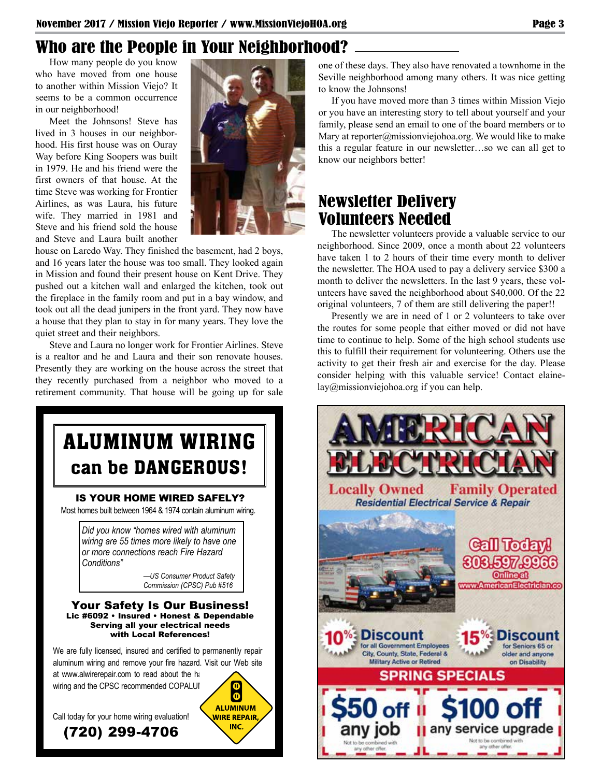## Who are the People in Your Neighborhood?

How many people do you know who have moved from one house to another within Mission Viejo? It seems to be a common occurrence in our neighborhood!

Meet the Johnsons! Steve has lived in 3 houses in our neighborhood. His first house was on Ouray Way before King Soopers was built in 1979. He and his friend were the first owners of that house. At the time Steve was working for Frontier Airlines, as was Laura, his future wife. They married in 1981 and Steve and his friend sold the house and Steve and Laura built another



house on Laredo Way. They finished the basement, had 2 boys, and 16 years later the house was too small. They looked again in Mission and found their present house on Kent Drive. They pushed out a kitchen wall and enlarged the kitchen, took out the fireplace in the family room and put in a bay window, and took out all the dead junipers in the front yard. They now have a house that they plan to stay in for many years. They love the quiet street and their neighbors.

Steve and Laura no longer work for Frontier Airlines. Steve is a realtor and he and Laura and their son renovate houses. Presently they are working on the house across the street that they recently purchased from a neighbor who moved to a retirement community. That house will be going up for sale



one of these days. They also have renovated a townhome in the Seville neighborhood among many others. It was nice getting to know the Johnsons!

If you have moved more than 3 times within Mission Viejo or you have an interesting story to tell about yourself and your family, please send an email to one of the board members or to Mary at reporter@missionviejohoa.org. We would like to make this a regular feature in our newsletter…so we can all get to know our neighbors better!

### Newsletter Delivery Volunteers Needed

The newsletter volunteers provide a valuable service to our neighborhood. Since 2009, once a month about 22 volunteers have taken 1 to 2 hours of their time every month to deliver the newsletter. The HOA used to pay a delivery service \$300 a month to deliver the newsletters. In the last 9 years, these volunteers have saved the neighborhood about \$40,000. Of the 22 original volunteers, 7 of them are still delivering the paper!!

Presently we are in need of 1 or 2 volunteers to take over the routes for some people that either moved or did not have time to continue to help. Some of the high school students use this to fulfill their requirement for volunteering. Others use the activity to get their fresh air and exercise for the day. Please consider helping with this valuable service! Contact elainelay@missionviejohoa.org if you can help.

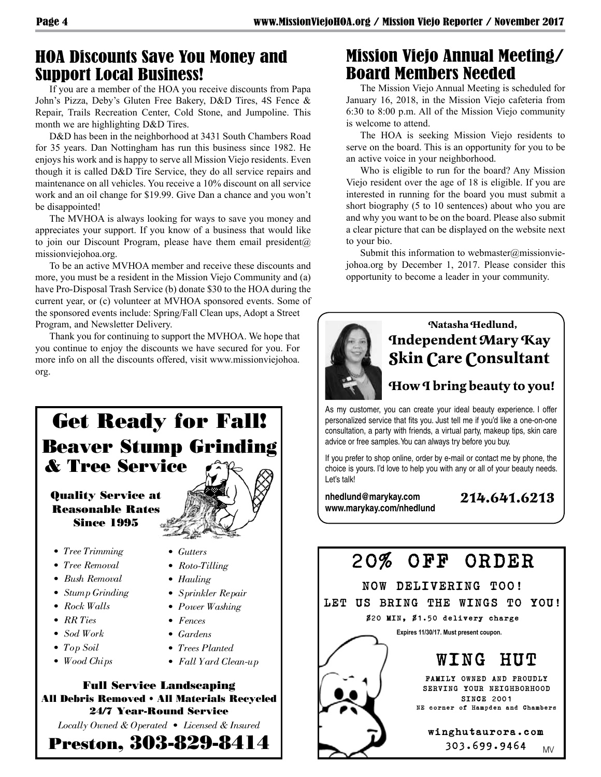#### HOA Discounts Save You Money and Support Local Business!

If you are a member of the HOA you receive discounts from Papa John's Pizza, Deby's Gluten Free Bakery, D&D Tires, 4S Fence & Repair, Trails Recreation Center, Cold Stone, and Jumpoline. This month we are highlighting D&D Tires.

D&D has been in the neighborhood at 3431 South Chambers Road for 35 years. Dan Nottingham has run this business since 1982. He enjoys his work and is happy to serve all Mission Viejo residents. Even though it is called D&D Tire Service, they do all service repairs and maintenance on all vehicles. You receive a 10% discount on all service work and an oil change for \$19.99. Give Dan a chance and you won't be disappointed!

The MVHOA is always looking for ways to save you money and appreciates your support. If you know of a business that would like to join our Discount Program, please have them email president $(a)$ missionviejohoa.org.

To be an active MVHOA member and receive these discounts and more, you must be a resident in the Mission Viejo Community and (a) have Pro-Disposal Trash Service (b) donate \$30 to the HOA during the current year, or (c) volunteer at MVHOA sponsored events. Some of the sponsored events include: Spring/Fall Clean ups, Adopt a Street Program, and Newsletter Delivery.

Thank you for continuing to support the MVHOA. We hope that you continue to enjoy the discounts we have secured for you. For more info on all the discounts offered, visit www.missionviejohoa. org.

# Get Ready for Fall! Beaver Stump Grinding & Tree Service

#### Quality Service at Reasonable Rates Since 1995

- *Tree Trimming*
- *Tree Removal*
- *Bush Removal*
- *Stump Grinding*
- *Rock Walls*
- *RR Ties*
- *Sod Work*
- *Top Soil*
- *Wood Chips*
- *Gutters • Roto-Tilling*
- 
- *Hauling*
- *Sprinkler Repair • Power Washing*
- 
- *Fences*
- *Gardens*
- *Trees Planted*
- *Fall Yard Clean-up*



*Locally Owned & Operated • Licensed & Insured*

Preston, 303-829-8414

## Mission Viejo Annual Meeting/ Board Members Needed

The Mission Viejo Annual Meeting is scheduled for January 16, 2018, in the Mission Viejo cafeteria from 6:30 to 8:00 p.m. All of the Mission Viejo community is welcome to attend.

The HOA is seeking Mission Viejo residents to serve on the board. This is an opportunity for you to be an active voice in your neighborhood.

Who is eligible to run for the board? Any Mission Viejo resident over the age of 18 is eligible. If you are interested in running for the board you must submit a short biography (5 to 10 sentences) about who you are and why you want to be on the board. Please also submit a clear picture that can be displayed on the website next to your bio.

Submit this information to webmaster@missionviejohoa.org by December 1, 2017. Please consider this opportunity to become a leader in your community.



#### **Natasha Hedlund, Independent Mary Kay Skin Care Consultant**

#### **How I bring beauty to you!**

As my customer, you can create your ideal beauty experience. I offer personalized service that fits you. Just tell me if you'd like a one-on-one consultation, a party with friends, a virtual party, makeup tips, skin care advice or free samples. You can always try before you buy.

If you prefer to shop online, order by e-mail or contact me by phone, the choice is yours. I'd love to help you with any or all of your beauty needs. Let's talk!

**nhedlund@marykay.com www.marykay.com/nhedlund**

#### **214.641.6213**



303.699.9464 MV

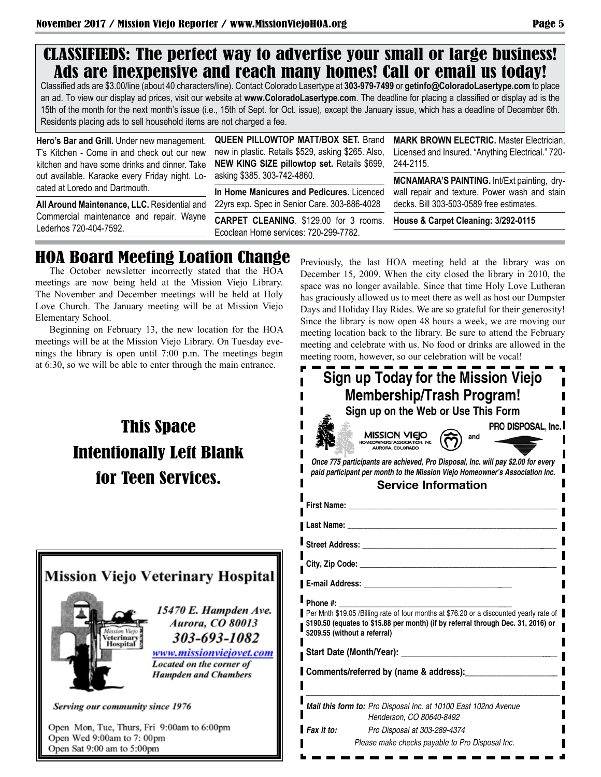### CLASSIFIEDS: The perfect way to advertise your small or large business! Ads are inexpensive and reach many homes! Call or email us today!

Classified ads are \$3.00/line (about 40 characters/line). Contact Colorado Lasertype at **303-979-7499** or **getinfo@ColoradoLasertype.com** to place an ad. To view our display ad prices, visit our website at **www.ColoradoLasertype.com**. The deadline for placing a classified or display ad is the 15th of the month for the next month's issue (i.e., 15th of Sept. for Oct. issue), except the January issue, which has a deadline of December 6th. Residents placing ads to sell household items are not charged a fee.

**Hero's Bar and Grill.** Under new management. T's Kitchen - Come in and check out our new kitchen and have some drinks and dinner. Take out available. Karaoke every Friday night. Located at Loredo and Dartmouth.

**All Around Maintenance, LLC.** Residential and Commercial maintenance and repair. Wayne Lederhos 720-404-7592.

**QUEEN PILLOWTOP MATT/BOX SET.** Brand new in plastic. Retails \$529, asking \$265. Also, **NEW KING SIZE pillowtop set.** Retails \$699, asking \$385. 303-742-4860.

**In Home Manicures and Pedicures.** Licenced 22yrs exp. Spec in Senior Care. 303-886-4028

**CARPET CLEANING**. \$129.00 for 3 rooms. Ecoclean Home services: 720-299-7782.

**MARK BROWN ELECTRIC.** Master Electrician, Licensed and Insured. "Anything Electrical." 720- 244-2115.

**MCNAMARA'S PAINTING.** Int/Ext painting, drywall repair and texture. Power wash and stain decks. Bill 303-503-0589 free estimates.

**House & Carpet Cleaning: 3/292-0115**

Previously, the last HOA meeting held at the library was on December 15, 2009. When the city closed the library in 2010, the space was no longer available. Since that time Holy Love Lutheran has graciously allowed us to meet there as well as host our Dumpster Days and Holiday Hay Rides. We are so grateful for their generosity! Since the library is now open 48 hours a week, we are moving our meeting location back to the library. Be sure to attend the February

## HOA Board Meeting Loation Change

The October newsletter incorrectly stated that the HOA meetings are now being held at the Mission Viejo Library. The November and December meetings will be held at Holy Love Church. The January meeting will be at Mission Viejo Elementary School.

Beginning on February 13, the new location for the HOA meetings will be at the Mission Viejo Library. On Tuesday evenings the library is open until 7:00 p.m. The meetings begin at 6:30, so we will be able to enter through the main entrance.

# This Space Intentionally Left Blank for Teen Services.



Open Sat 9:00 am to 5:00pm

meeting and celebrate with us. No food or drinks are allowed in the meeting room, however, so our celebration will be vocal! **Sign up Today for the Mission Viejo Membership/Trash Program! Sign up on the Web or Use This Form** PRO DISPOSAL, Inc. **MISSION VIEJO and** OWNERS' ASSOCIATION<br>AURORA, COLORADO *Once 775 participants are achieved, Pro Disposal, Inc. will pay \$2.00 for every paid participant per month to the Mission Viejo Homeowner's Association Inc.* **Service Information First Name: \_\_\_\_\_\_\_\_\_\_\_\_\_\_\_\_\_\_\_\_\_\_\_\_\_\_\_\_\_\_\_\_\_\_\_\_\_\_\_\_\_\_\_\_\_\_\_\_\_\_\_\_ Last Name: \_\_\_\_\_\_\_\_\_\_\_\_\_\_\_\_\_\_\_\_\_\_\_\_\_\_\_\_\_\_\_\_\_\_\_\_\_\_\_\_\_\_\_\_\_\_\_\_\_\_\_\_** Street Address: **City, Zip Code: \_\_\_\_\_\_\_\_\_\_\_\_\_\_\_\_\_\_\_\_\_\_\_\_\_\_\_\_\_\_\_\_\_\_\_\_\_\_\_\_\_\_\_\_\_\_\_\_\_\_ E-mail Address: \_\_\_\_\_\_\_\_\_\_\_\_\_\_\_\_\_\_\_\_\_\_\_\_\_\_\_\_\_\_\_\_\_\_\_\_\_\_** Phone #: Per Mnth \$19.05 /Billing rate of four months at \$76.20 or a discounted yearly rate of **\$190.50 (equates to \$15.88 per month) (if by referral through Dec. 31, 2016) or \$209.55 (without a referral)** Start Date (Month/Year): **Comments/referred by (name & address):\_\_\_\_\_\_\_\_\_\_\_\_\_\_\_\_\_\_\_\_\_ \_\_\_\_\_\_\_\_\_\_\_\_\_\_\_\_\_\_\_\_\_\_\_\_\_\_\_\_\_\_\_\_\_\_\_\_\_\_\_\_\_\_\_\_\_\_\_\_\_\_\_\_\_\_\_\_\_\_\_\_\_\_\_** *Mail this form to: Pro Disposal Inc. at 10100 East 102nd Avenue Henderson, CO 80640-8492 Fax it to: Pro Disposal at 303-289-4374 Please make checks payable to Pro Disposal Inc.*